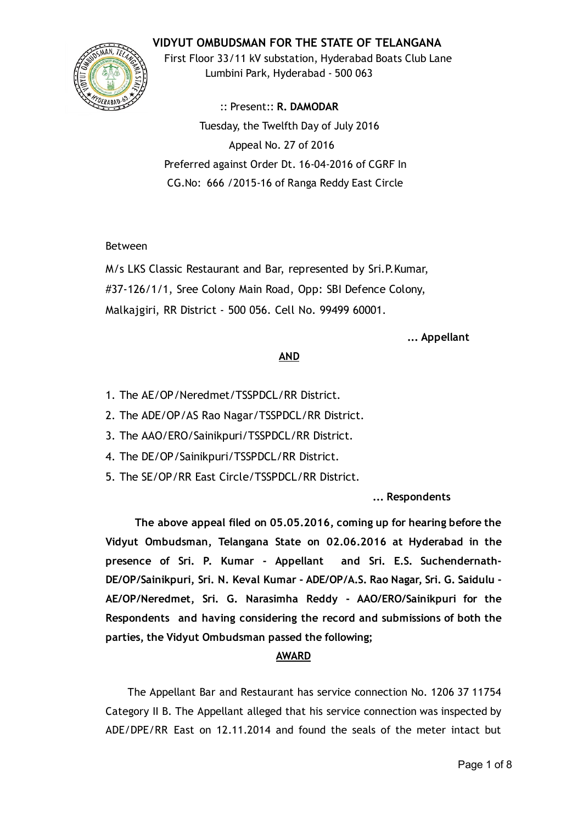## VIDYUT OMBUDSMAN FOR THE STATE OF TELANGANA



First Floor 33/11 kV substation, Hyderabad Boats Club Lane Lumbini Park, Hyderabad ‐ 500 063

:: Present:: R. DAMODAR Tuesday, the Twelfth Day of July 2016 Appeal No. 27 of 2016 Preferred against Order Dt. 16‐04‐2016 of CGRF In CG.No: 666 /2015‐16 of Ranga Reddy East Circle

### Between

M/s LKS Classic Restaurant and Bar, represented by Sri.P.Kumar, #37‐126/1/1, Sree Colony Main Road, Opp: SBI Defence Colony, Malkajgiri, RR District ‐ 500 056. Cell No. 99499 60001.

... Appellant

### AND

- 1. The AE/OP/Neredmet/TSSPDCL/RR District.
- 2. The ADE/OP/AS Rao Nagar/TSSPDCL/RR District.
- 3. The AAO/ERO/Sainikpuri/TSSPDCL/RR District.
- 4. The DE/OP/Sainikpuri/TSSPDCL/RR District.
- 5. The SE/OP/RR East Circle/TSSPDCL/RR District.

### ... Respondents

The above appeal filed on 05.05.2016, coming up for hearing before the Vidyut Ombudsman, Telangana State on 02.06.2016 at Hyderabad in the presence of Sri. P. Kumar ‐ Appellant and Sri. E.S. Suchendernath‐ DE/OP/Sainikpuri, Sri. N. Keval Kumar ‐ ADE/OP/A.S. Rao Nagar, Sri. G. Saidulu ‐ AE/OP/Neredmet, Sri. G. Narasimha Reddy ‐ AAO/ERO/Sainikpuri for the Respondents and having considering the record and submissions of both the parties, the Vidyut Ombudsman passed the following;

### AWARD

The Appellant Bar and Restaurant has service connection No. 1206 37 11754 Category II B. The Appellant alleged that his service connection was inspected by ADE/DPE/RR East on 12.11.2014 and found the seals of the meter intact but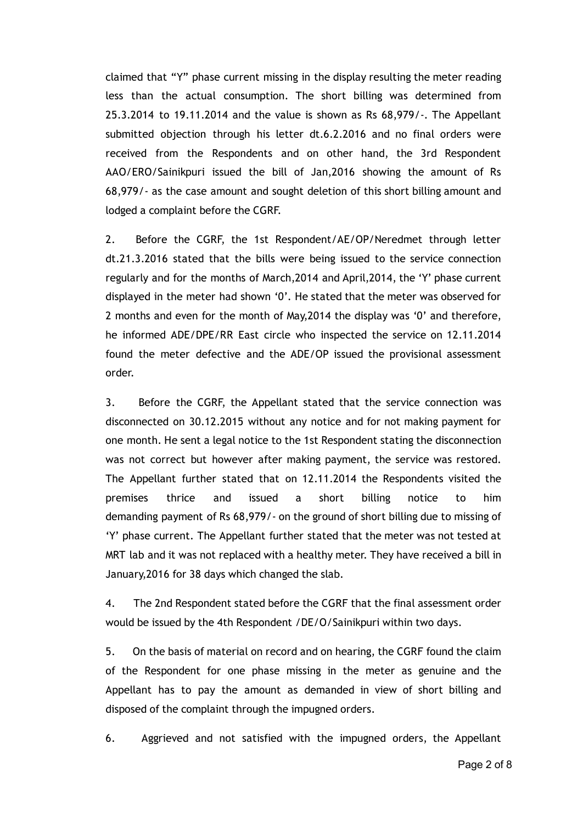claimed that "Y" phase current missing in the display resulting the meter reading less than the actual consumption. The short billing was determined from 25.3.2014 to 19.11.2014 and the value is shown as Rs 68,979/‐. The Appellant submitted objection through his letter dt.6.2.2016 and no final orders were received from the Respondents and on other hand, the 3rd Respondent AAO/ERO/Sainikpuri issued the bill of Jan,2016 showing the amount of Rs 68,979/‐ as the case amount and sought deletion of this short billing amount and lodged a complaint before the CGRF.

2. Before the CGRF, the 1st Respondent/AE/OP/Neredmet through letter dt.21.3.2016 stated that the bills were being issued to the service connection regularly and for the months of March,2014 and April,2014, the 'Y' phase current displayed in the meter had shown '0'. He stated that the meter was observed for 2 months and even for the month of May,2014 the display was '0' and therefore, he informed ADE/DPE/RR East circle who inspected the service on 12.11.2014 found the meter defective and the ADE/OP issued the provisional assessment order.

3. Before the CGRF, the Appellant stated that the service connection was disconnected on 30.12.2015 without any notice and for not making payment for one month. He sent a legal notice to the 1st Respondent stating the disconnection was not correct but however after making payment, the service was restored. The Appellant further stated that on 12.11.2014 the Respondents visited the premises thrice and issued a short billing notice to him demanding payment of Rs 68,979/‐ on the ground of short billing due to missing of 'Y' phase current. The Appellant further stated that the meter was not tested at MRT lab and it was not replaced with a healthy meter. They have received a bill in January,2016 for 38 days which changed the slab.

4. The 2nd Respondent stated before the CGRF that the final assessment order would be issued by the 4th Respondent /DE/O/Sainikpuri within two days.

5. On the basis of material on record and on hearing, the CGRF found the claim of the Respondent for one phase missing in the meter as genuine and the Appellant has to pay the amount as demanded in view of short billing and disposed of the complaint through the impugned orders.

6. Aggrieved and not satisfied with the impugned orders, the Appellant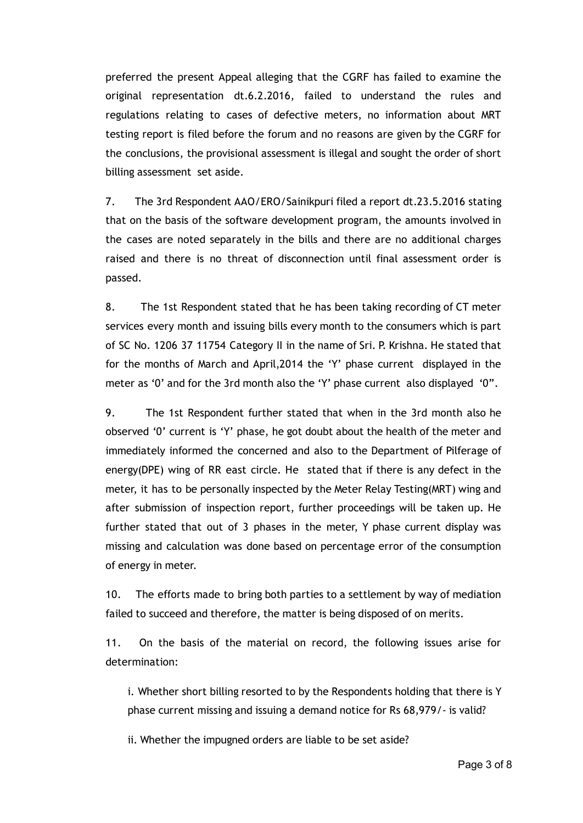preferred the present Appeal alleging that the CGRF has failed to examine the original representation dt.6.2.2016, failed to understand the rules and regulations relating to cases of defective meters, no information about MRT testing report is filed before the forum and no reasons are given by the CGRF for the conclusions, the provisional assessment is illegal and sought the order of short billing assessment set aside.

7. The 3rd Respondent AAO/ERO/Sainikpuri filed a report dt.23.5.2016 stating that on the basis of the software development program, the amounts involved in the cases are noted separately in the bills and there are no additional charges raised and there is no threat of disconnection until final assessment order is passed.

8. The 1st Respondent stated that he has been taking recording of CT meter services every month and issuing bills every month to the consumers which is part of SC No. 1206 37 11754 Category II in the name of Sri. P. Krishna. He stated that for the months of March and April,2014 the 'Y' phase current displayed in the meter as '0' and for the 3rd month also the 'Y' phase current also displayed '0".

9. The 1st Respondent further stated that when in the 3rd month also he observed '0' current is 'Y' phase, he got doubt about the health of the meter and immediately informed the concerned and also to the Department of Pilferage of energy(DPE) wing of RR east circle. He stated that if there is any defect in the meter, it has to be personally inspected by the Meter Relay Testing(MRT) wing and after submission of inspection report, further proceedings will be taken up. He further stated that out of 3 phases in the meter, Y phase current display was missing and calculation was done based on percentage error of the consumption of energy in meter.

10. The efforts made to bring both parties to a settlement by way of mediation failed to succeed and therefore, the matter is being disposed of on merits.

11. On the basis of the material on record, the following issues arise for determination:

i. Whether short billing resorted to by the Respondents holding that there is Y phase current missing and issuing a demand notice for Rs 68,979/‐ is valid?

ii. Whether the impugned orders are liable to be set aside?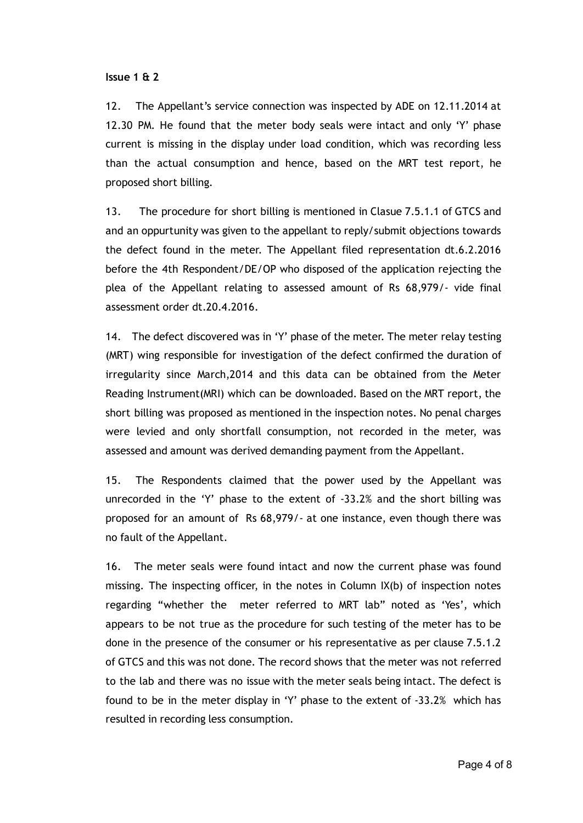#### Issue 1 & 2

12. The Appellant's service connection was inspected by ADE on 12.11.2014 at 12.30 PM. He found that the meter body seals were intact and only 'Y' phase current is missing in the display under load condition, which was recording less than the actual consumption and hence, based on the MRT test report, he proposed short billing.

13. The procedure for short billing is mentioned in Clasue 7.5.1.1 of GTCS and and an oppurtunity was given to the appellant to reply/submit objections towards the defect found in the meter. The Appellant filed representation dt.6.2.2016 before the 4th Respondent/DE/OP who disposed of the application rejecting the plea of the Appellant relating to assessed amount of Rs 68,979/‐ vide final assessment order dt.20.4.2016.

14. The defect discovered was in 'Y' phase of the meter. The meter relay testing (MRT) wing responsible for investigation of the defect confirmed the duration of irregularity since March,2014 and this data can be obtained from the Meter Reading Instrument(MRI) which can be downloaded. Based on the MRT report, the short billing was proposed as mentioned in the inspection notes. No penal charges were levied and only shortfall consumption, not recorded in the meter, was assessed and amount was derived demanding payment from the Appellant.

15. The Respondents claimed that the power used by the Appellant was unrecorded in the 'Y' phase to the extent of ‐33.2% and the short billing was proposed for an amount of Rs 68,979/‐ at one instance, even though there was no fault of the Appellant.

16. The meter seals were found intact and now the current phase was found missing. The inspecting officer, in the notes in Column IX(b) of inspection notes regarding "whether the meter referred to MRT lab" noted as 'Yes', which appears to be not true as the procedure for such testing of the meter has to be done in the presence of the consumer or his representative as per clause 7.5.1.2 of GTCS and this was not done. The record shows that the meter was not referred to the lab and there was no issue with the meter seals being intact. The defect is found to be in the meter display in 'Y' phase to the extent of ‐33.2% which has resulted in recording less consumption.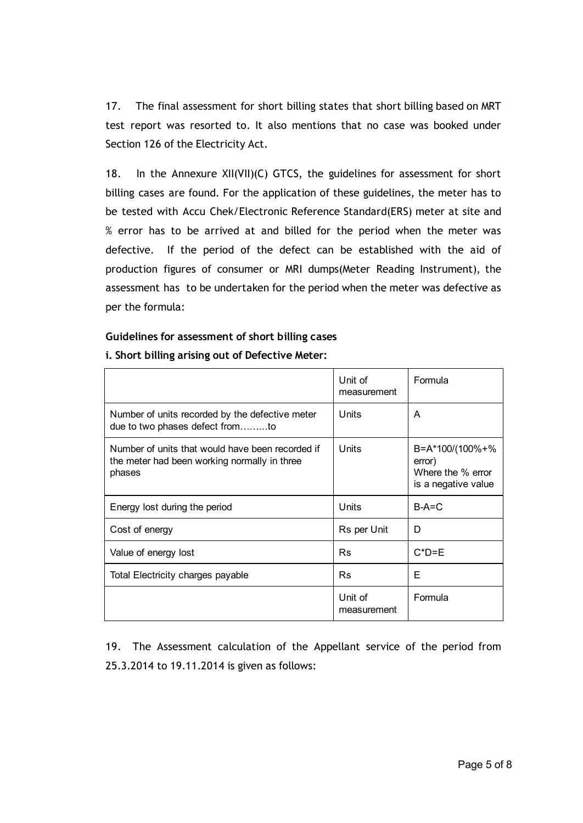17. The final assessment for short billing states that short billing based on MRT test report was resorted to. It also mentions that no case was booked under Section 126 of the Electricity Act.

18. In the Annexure XII(VII)(C) GTCS, the guidelines for assessment for short billing cases are found. For the application of these guidelines, the meter has to be tested with Accu Chek/Electronic Reference Standard(ERS) meter at site and % error has to be arrived at and billed for the period when the meter was defective. If the period of the defect can be established with the aid of production figures of consumer or MRI dumps(Meter Reading Instrument), the assessment has to be undertaken for the period when the meter was defective as per the formula:

#### Guidelines for assessment of short billing cases

|                                                                                                            | Unit of<br>measurement | Formula                                                               |  |
|------------------------------------------------------------------------------------------------------------|------------------------|-----------------------------------------------------------------------|--|
| Number of units recorded by the defective meter<br>due to two phases defect fromto                         | Units                  | A                                                                     |  |
| Number of units that would have been recorded if<br>the meter had been working normally in three<br>phases | Units                  | B=A*100/(100%+%<br>error)<br>Where the % error<br>is a negative value |  |
| Energy lost during the period                                                                              | Units                  | $B-A=C$                                                               |  |
| Cost of energy                                                                                             | Rs per Unit            | D                                                                     |  |
| Value of energy lost                                                                                       | <b>Rs</b>              | $C^*D = E$                                                            |  |
| Total Electricity charges payable                                                                          | <b>Rs</b>              | F                                                                     |  |
|                                                                                                            | Unit of<br>measurement | Formula                                                               |  |

#### i. Short billing arising out of Defective Meter:

19. The Assessment calculation of the Appellant service of the period from 25.3.2014 to 19.11.2014 is given as follows: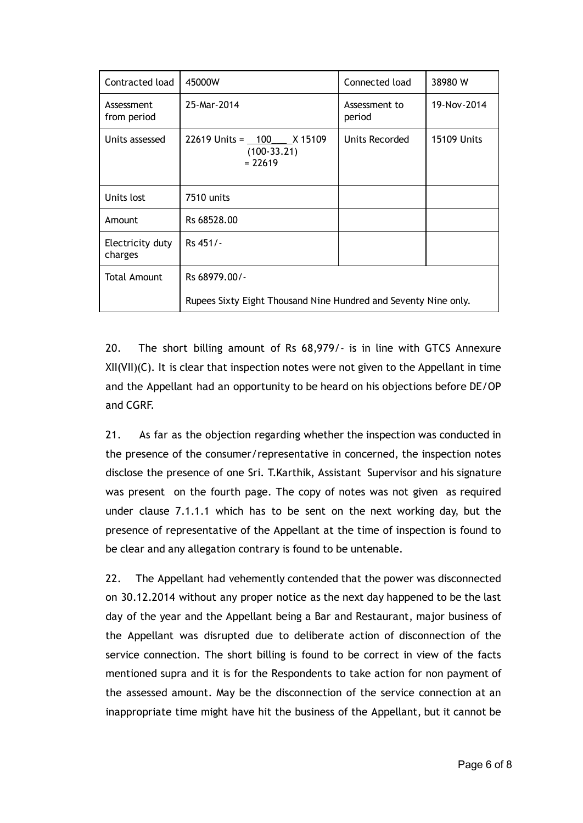| Contracted load             | 45000W                                                          | Connected load          | 38980 W            |
|-----------------------------|-----------------------------------------------------------------|-------------------------|--------------------|
| Assessment<br>from period   | 25-Mar-2014                                                     | Assessment to<br>period | 19-Nov-2014        |
| Units assessed              | $22619$ Units = $100$ X 15109<br>$(100-33.21)$<br>$= 22619$     | Units Recorded          | <b>15109 Units</b> |
| Units lost                  | 7510 units                                                      |                         |                    |
| Amount                      | Rs 68528.00                                                     |                         |                    |
| Electricity duty<br>charges | Rs 451/-                                                        |                         |                    |
| Total Amount                | Rs 68979.00/-                                                   |                         |                    |
|                             | Rupees Sixty Eight Thousand Nine Hundred and Seventy Nine only. |                         |                    |

20. The short billing amount of Rs 68,979/‐ is in line with GTCS Annexure XII(VII)(C). It is clear that inspection notes were not given to the Appellant in time and the Appellant had an opportunity to be heard on his objections before DE/OP and CGRF.

21. As far as the objection regarding whether the inspection was conducted in the presence of the consumer/representative in concerned, the inspection notes disclose the presence of one Sri. T.Karthik, Assistant Supervisor and his signature was present on the fourth page. The copy of notes was not given as required under clause 7.1.1.1 which has to be sent on the next working day, but the presence of representative of the Appellant at the time of inspection is found to be clear and any allegation contrary is found to be untenable.

22. The Appellant had vehemently contended that the power was disconnected on 30.12.2014 without any proper notice as the next day happened to be the last day of the year and the Appellant being a Bar and Restaurant, major business of the Appellant was disrupted due to deliberate action of disconnection of the service connection. The short billing is found to be correct in view of the facts mentioned supra and it is for the Respondents to take action for non payment of the assessed amount. May be the disconnection of the service connection at an inappropriate time might have hit the business of the Appellant, but it cannot be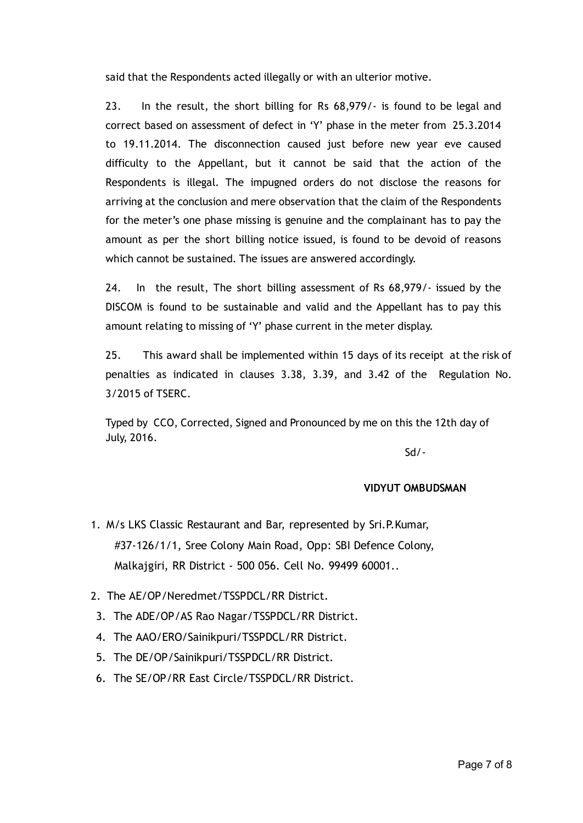said that the Respondents acted illegally or with an ulterior motive.

23. In the result, the short billing for Rs 68,979/‐ is found to be legal and correct based on assessment of defect in 'Y' phase in the meter from 25.3.2014 to 19.11.2014. The disconnection caused just before new year eve caused difficulty to the Appellant, but it cannot be said that the action of the Respondents is illegal. The impugned orders do not disclose the reasons for arriving at the conclusion and mere observation that the claim of the Respondents for the meter's one phase missing is genuine and the complainant has to pay the amount as per the short billing notice issued, is found to be devoid of reasons which cannot be sustained. The issues are answered accordingly.

24. In the result, The short billing assessment of Rs 68,979/‐ issued by the DISCOM is found to be sustainable and valid and the Appellant has to pay this amount relating to missing of 'Y' phase current in the meter display.

25. This award shall be implemented within 15 days of its receipt at the risk of penalties as indicated in clauses 3.38, 3.39, and 3.42 of the Regulation No. 3/2015 of TSERC.

Typed by CCO, Corrected, Signed and Pronounced by me on this the 12th day of July, 2016.

Sd/‐

#### VIDYUT OMBUDSMAN

- 1. M/s LKS Classic Restaurant and Bar, represented by Sri.P.Kumar, #37‐126/1/1, Sree Colony Main Road, Opp: SBI Defence Colony, Malkajgiri, RR District ‐ 500 056. Cell No. 99499 60001..
- 2. The AE/OP/Neredmet/TSSPDCL/RR District.
- 3. The ADE/OP/AS Rao Nagar/TSSPDCL/RR District.
- 4. The AAO/ERO/Sainikpuri/TSSPDCL/RR District.
- 5. The DE/OP/Sainikpuri/TSSPDCL/RR District.
- 6. The SE/OP/RR East Circle/TSSPDCL/RR District.